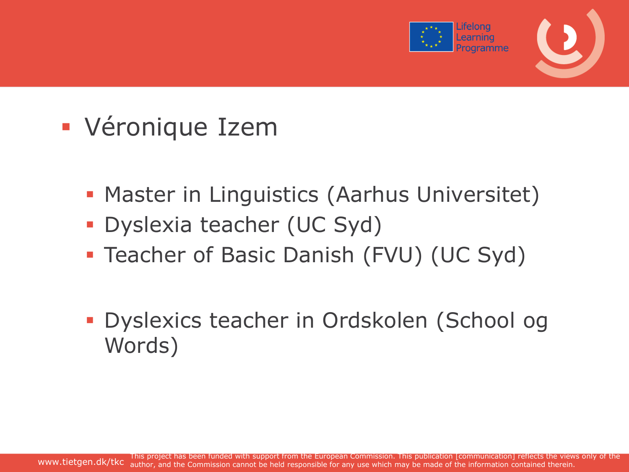

### Véronique Izem

- **Master in Linguistics (Aarhus Universitet)**
- Dyslexia teacher (UC Syd)
- **Teacher of Basic Danish (FVU) (UC Syd)**
- Dyslexics teacher in Ordskolen (School og Words)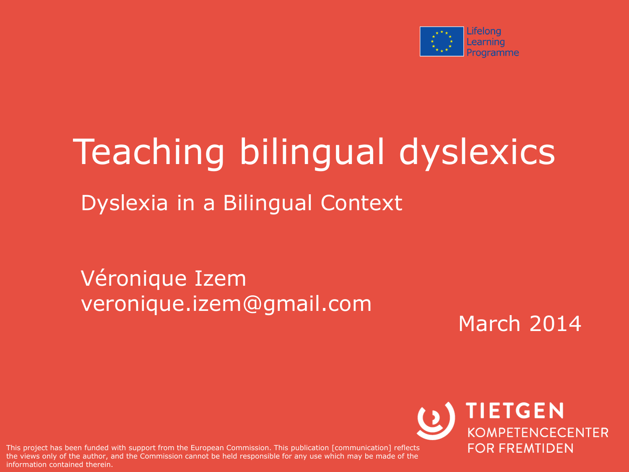

# Teaching bilingual dyslexics

Dyslexia in a Bilingual Context

Véronique Izem veronique.izem@gmail.com

March 2014

are views only of the duthor, and This project has been funded with support from the European Commission. This publication [communication] reflects the views only of the author, and the Commission cannot be held responsible for any use which may be made of the

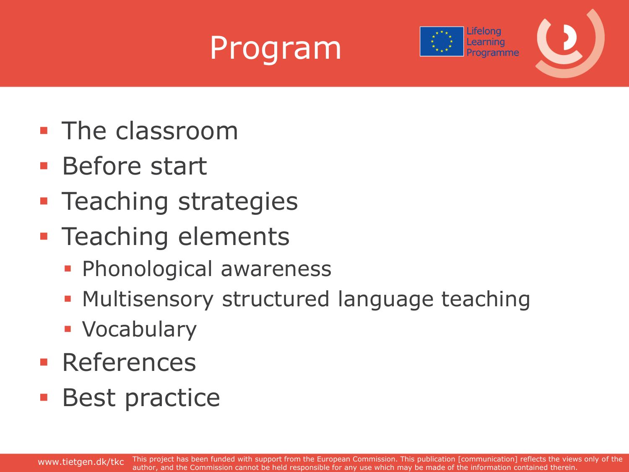



- **The classroom**
- **Before start**
- **Teaching strategies**
- **Teaching elements** 
	- **Phonological awareness**
	- **Multisensory structured language teaching**
	- **Vocabulary**
- **References**
- **Best practice**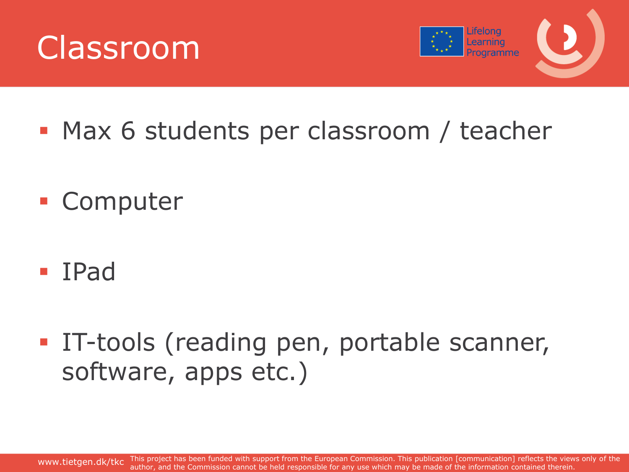



- **Max 6 students per classroom / teacher**
- Computer
- IPad
- IT-tools (reading pen, portable scanner, software, apps etc.)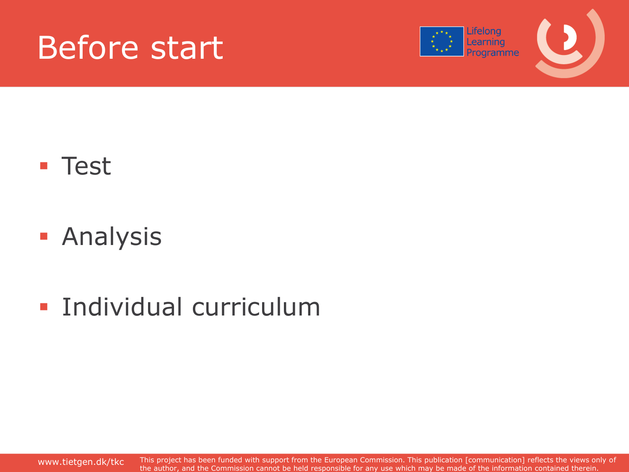



#### **Test**

- **Analysis**
- **Individual curriculum**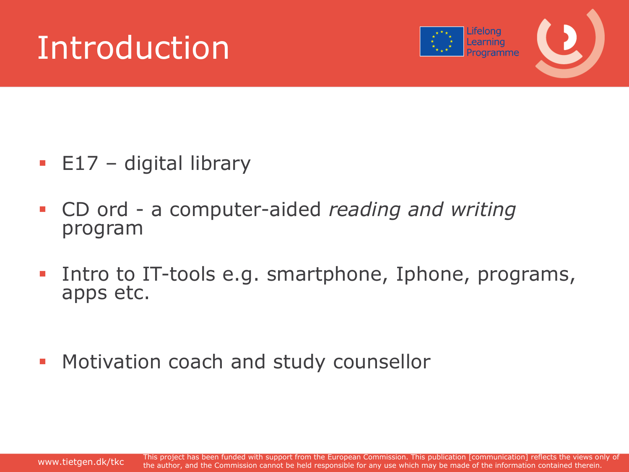### Introduction



- $\blacksquare$  E17 digital library
- CD ord a computer-aided *reading and writing* program
- **Intro to IT-tools e.g. smartphone, Iphone, programs,** apps etc.
- **Motivation coach and study counsellor**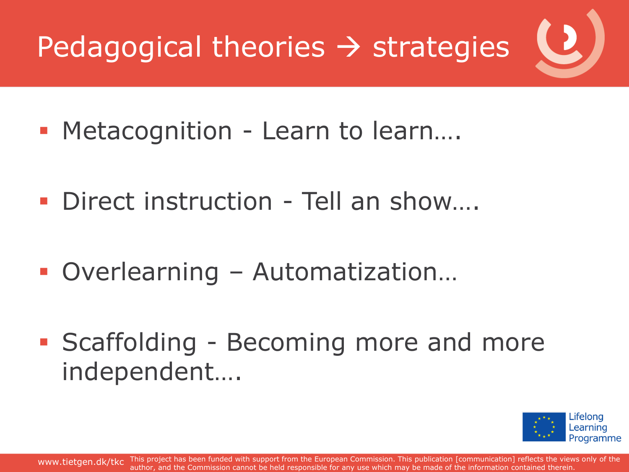

- Metacognition Learn to learn...
- Direct instruction Tell an show....
- Overlearning Automatization…
- **Scaffolding Becoming more and more** independent….

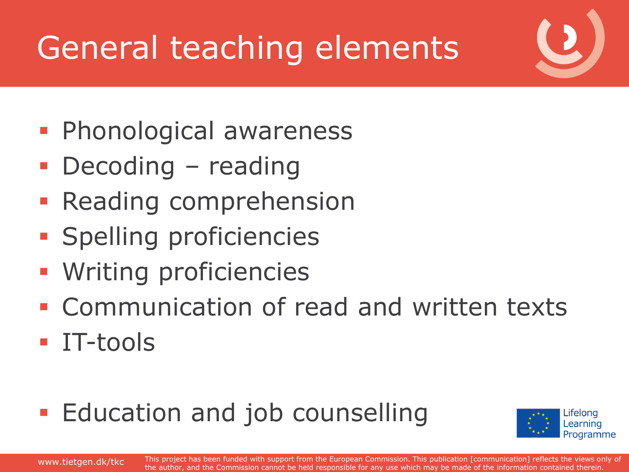# General teaching elements

- **Phonological awareness**
- Decoding reading
- **Reading comprehension**
- **Spelling proficiencies**
- **Writing proficiencies**
- **Example 1 Communication of read and written texts**
- **IT-tools**
- **Education and job counselling**



www.tietgen.dk/tkc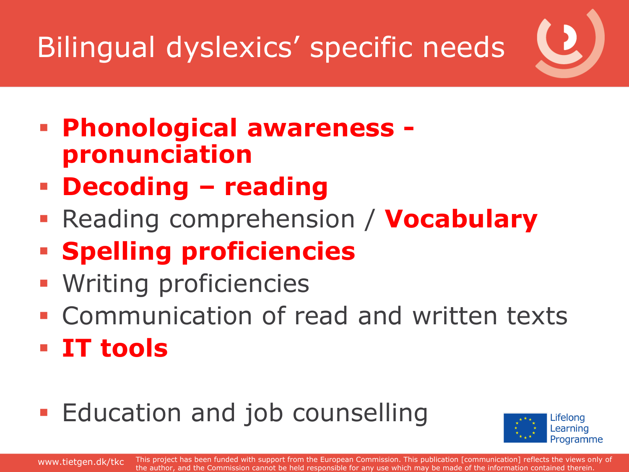### Bilingual dyslexics' specific needs

- **Phonological awareness pronunciation**
- **Decoding – reading**
- **Reading comprehension / Vocabulary**
- **Spelling proficiencies**
- Writing proficiencies
- **Communication of read and written texts**
- **IT tools**
- **Education and job counselling**

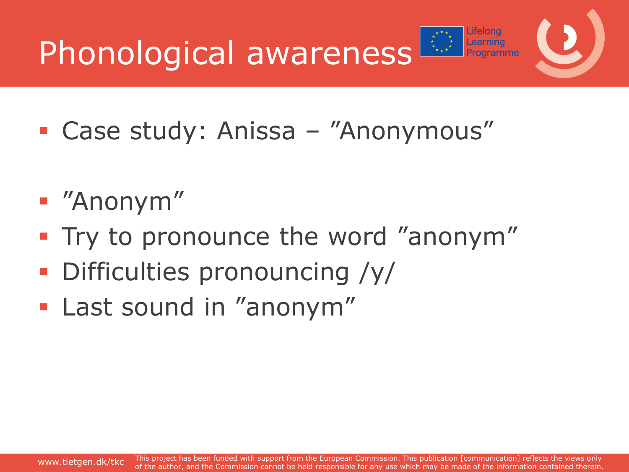Phonological awareness



- Case study: Anissa "Anonymous"
- "Anonym"
- **Try to pronounce the word "anonym"**
- **Difficulties pronouncing /y/**
- **Last sound in "anonym"**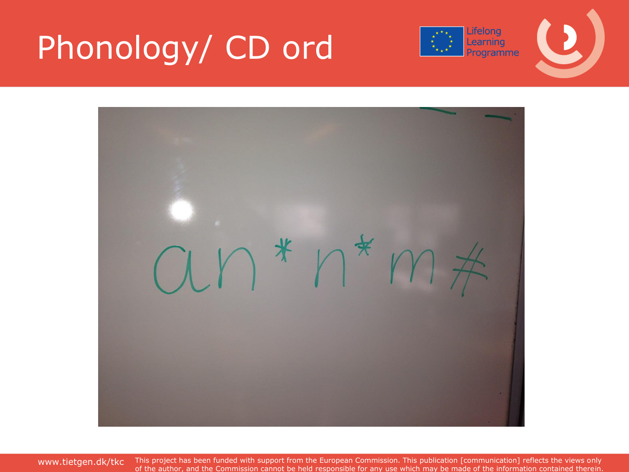## Phonology/ CD ord



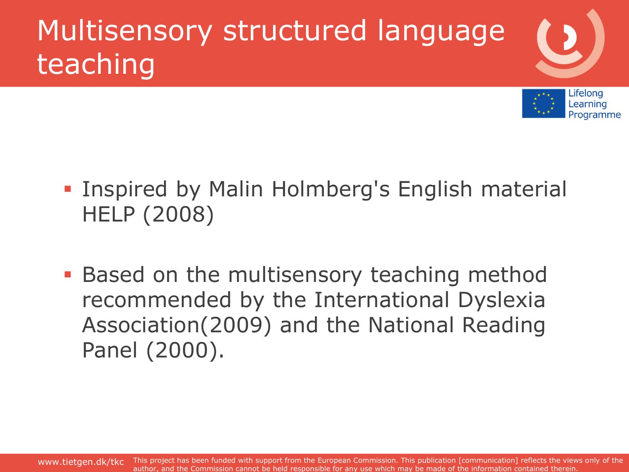## Multisensory structured language teaching



- **Inspired by Malin Holmberg's English material** HELP (2008)
- **Based on the multisensory teaching method** recommended by the International Dyslexia Association(2009) and the National Reading Panel (2000).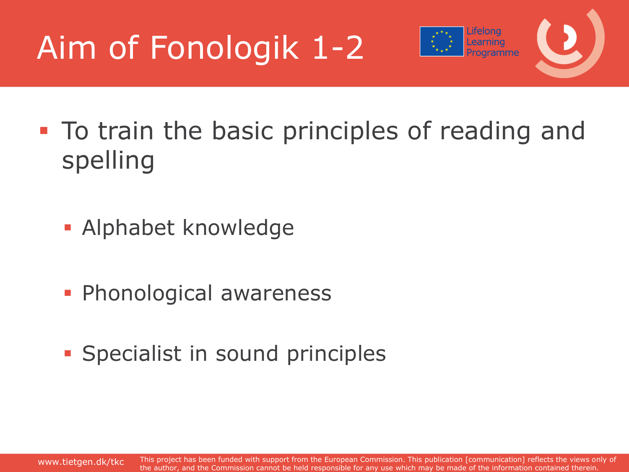



- **To train the basic principles of reading and** spelling
	- **Alphabet knowledge**
	- **Phonological awareness**
	- **Specialist in sound principles**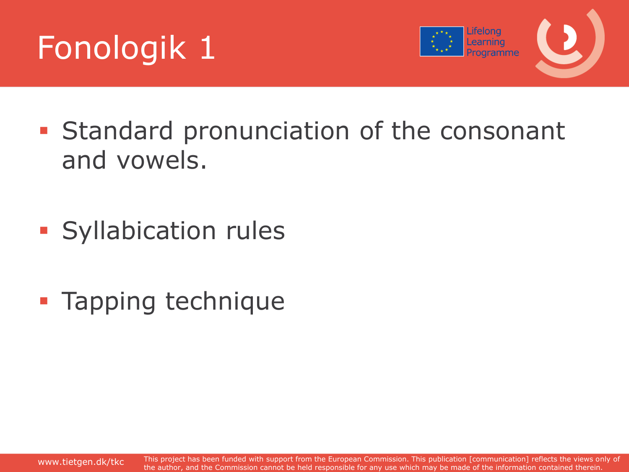



- **Standard pronunciation of the consonant** and vowels.
- **Syllabication rules**
- **Tapping technique**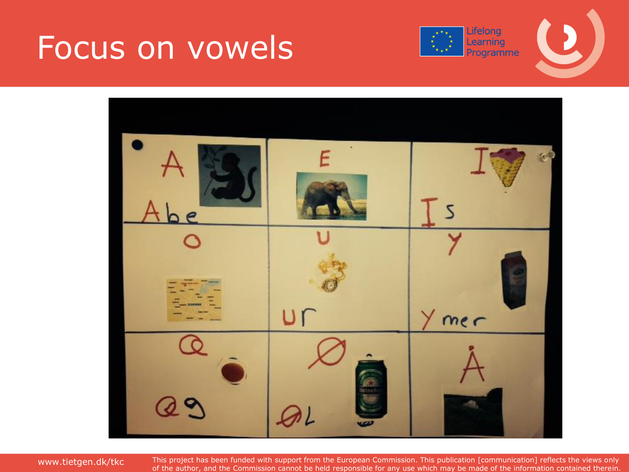### Focus on vowels





www.tietgen.dk/tkc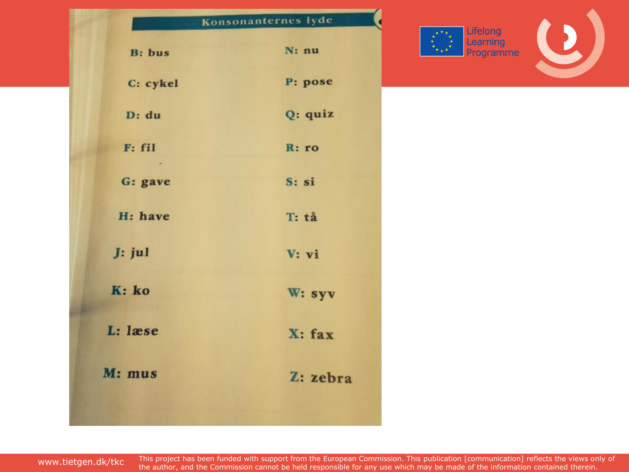|                | Konsonanternes lyde |
|----------------|---------------------|
| <b>B</b> : bus | $N: \mathbf{nu}$    |
| C: cykel       | P: pose             |
| D: du          | Q: quiz             |
| F: fil         | R:ro                |
| G: gave        | S:si                |
| H: have        | T: tå               |
| $J:$ jul       | V: vi               |
| K: ko          | W: syv              |
| L: læse        | $X:$ fax            |
| M: mus         | Z: zebra            |

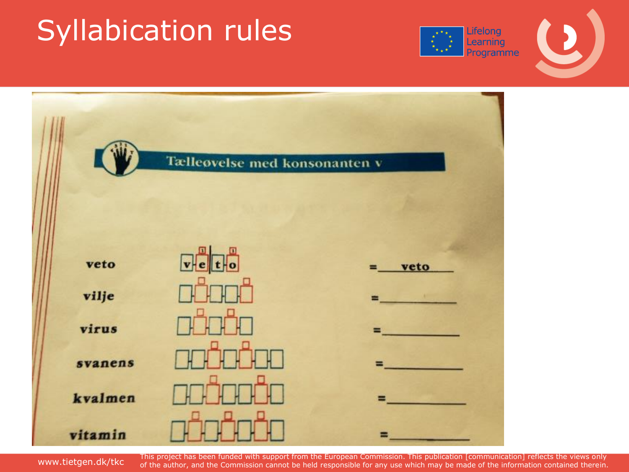### Syllabication rules





www.tietgen.dk/tkc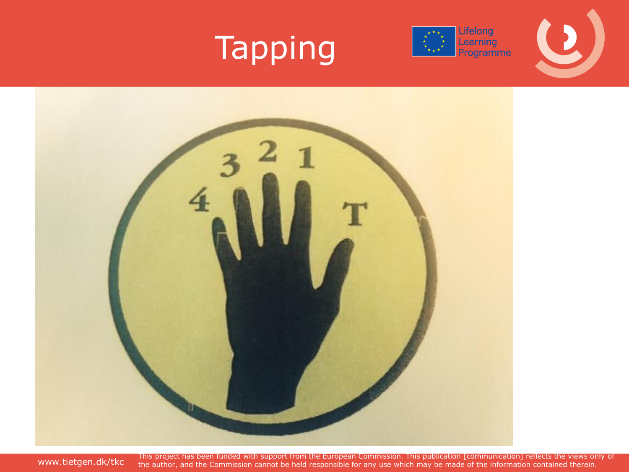

### Tapping



www.tietgen.dk/tkc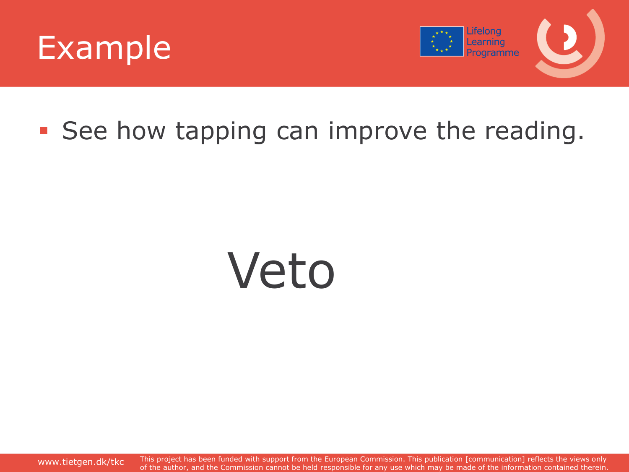



### **See how tapping can improve the reading.**

# Veto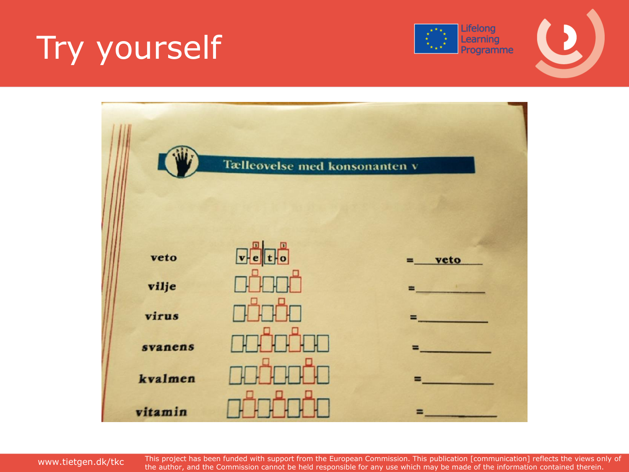# Try yourself





www.tietgen.dk/tkc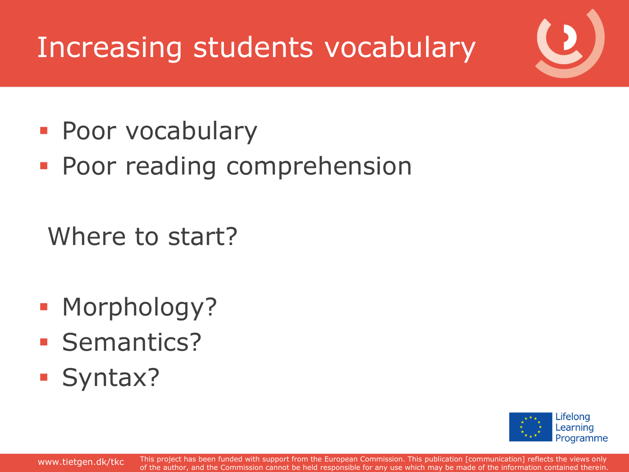### Increasing students vocabulary

- **Poor vocabulary**
- **Poor reading comprehension**

Where to start?

- **Morphology?**
- **Semantics?**
- **Syntax?**

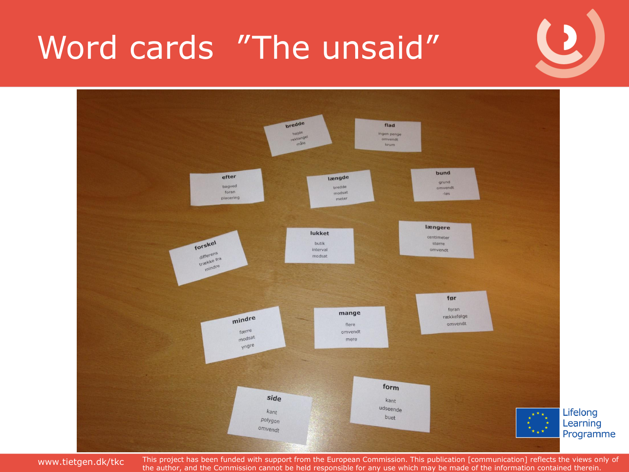### Word cards "The unsaid"



www.tietgen.dk/tkc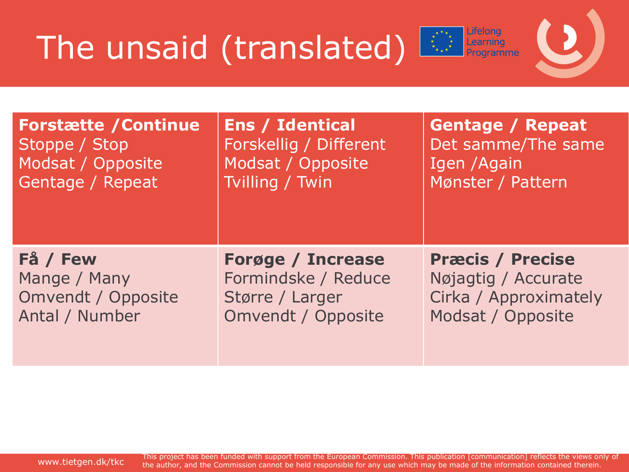## The unsaid (translated)



| <b>Forstætte / Continue</b> | <b>Ens / Identical</b>    | <b>Gentage / Repeat</b> |
|-----------------------------|---------------------------|-------------------------|
| Stoppe / Stop               | Forskellig / Different    | Det samme/The same      |
| Modsat / Opposite           | Modsat / Opposite         | Igen / Again            |
| Gentage / Repeat            | Tvilling / Twin           | Mønster / Pattern       |
| Få / Few                    | <b>Forøge / Increase</b>  | <b>Præcis / Precise</b> |
| Mange / Many                | Formindske / Reduce       | Nøjagtig / Accurate     |
| <b>Omvendt / Opposite</b>   | Større / Larger           | Cirka / Approximately   |
| Antal / Number              | <b>Omvendt / Opposite</b> | Modsat / Opposite       |

www.tietgen.dk/tkc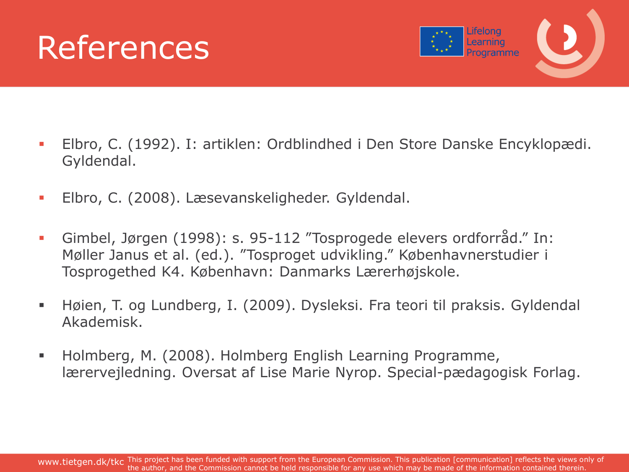### References



- Elbro, C. (1992). I: artiklen: Ordblindhed i Den Store Danske Encyklopædi. Gyldendal.
- Elbro, C. (2008). Læsevanskeligheder. Gyldendal.
- Gimbel, Jørgen (1998): s. 95-112 "Tosprogede elevers ordforråd." In: Møller Janus et al. (ed.). "Tosproget udvikling." Københavnerstudier i Tosprogethed K4. København: Danmarks Lærerhøjskole.
- Høien, T. og Lundberg, I. (2009). Dysleksi. Fra teori til praksis. Gyldendal Akademisk.
- Holmberg, M. (2008). Holmberg English Learning Programme, lærervejledning. Oversat af Lise Marie Nyrop. Special-pædagogisk Forlag.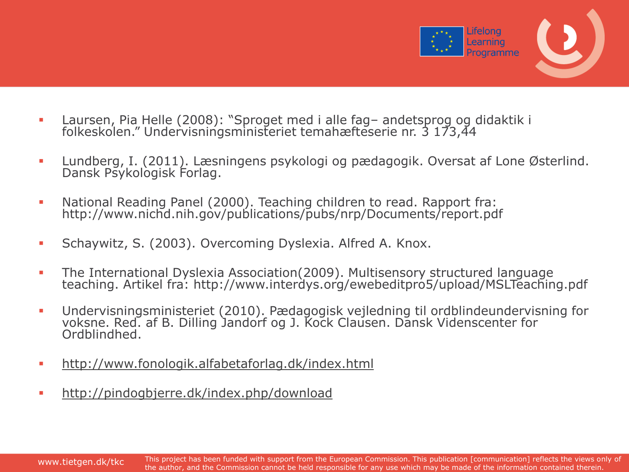

- Laursen, Pia Helle (2008): "Sproget med i alle fag– andetsprog og didaktik i folkeskolen." Undervisningsministeriet temahæfteserie nr. 3 173,44
- Lundberg, I. (2011). Læsningens psykologi og pædagogik. Oversat af Lone Østerlind. Dansk Psykologisk Forlag.
- National Reading Panel (2000). Teaching children to read. Rapport fra: http://www.nichd.nih.gov/publications/pubs/nrp/Documents/report.pdf
- **Schaywitz, S. (2003). Overcoming Dyslexia. Alfred A. Knox.**
- The International Dyslexia Association(2009). Multisensory structured language teaching. Artikel fra: http://www.interdys.org/ewebeditpro5/upload/MSLTeaching.pdf
- Undervisningsministeriet (2010). Pædagogisk vejledning til ordblindeundervisning for voksne. Red. af B. Dilling Jandorf og J. Kock Clausen. Dansk Videnscenter for Ordblindhed.
- <http://www.fonologik.alfabetaforlag.dk/index.html>
- <http://pindogbjerre.dk/index.php/download>

www.tietgen.dk/tkc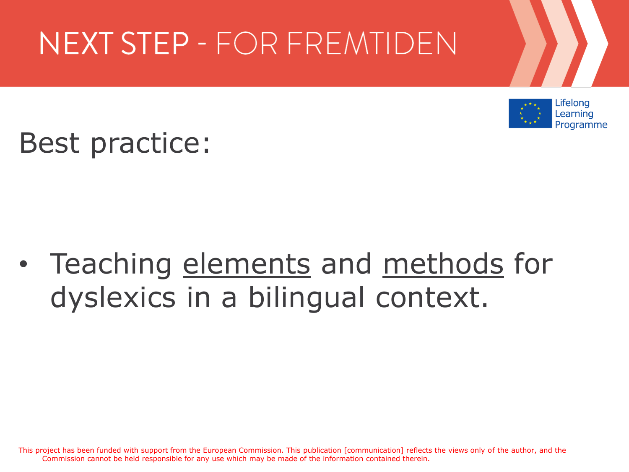### NEXT STEP - FOR FREMTIDEN



Best practice:

### • Teaching elements and methods for dyslexics in a bilingual context.